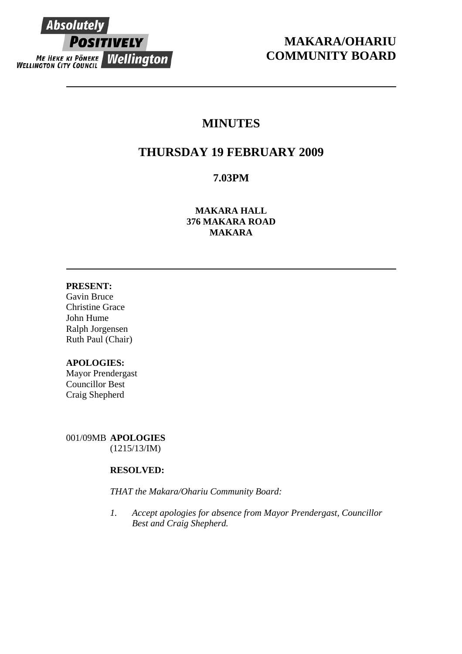

# **MAKARA/OHARIU COMMUNITY BOARD**

# **MINUTES**

# **THURSDAY 19 FEBRUARY 2009**

## **7.03PM**

**MAKARA HALL 376 MAKARA ROAD MAKARA** 

## **PRESENT:**

Gavin Bruce Christine Grace John Hume Ralph Jorgensen Ruth Paul (Chair)

## **APOLOGIES:**

Mayor Prendergast Councillor Best Craig Shepherd

001/09MB **APOLOGIES** (1215/13/IM)

## **RESOLVED:**

*THAT the Makara/Ohariu Community Board:* 

*1. Accept apologies for absence from Mayor Prendergast, Councillor Best and Craig Shepherd.*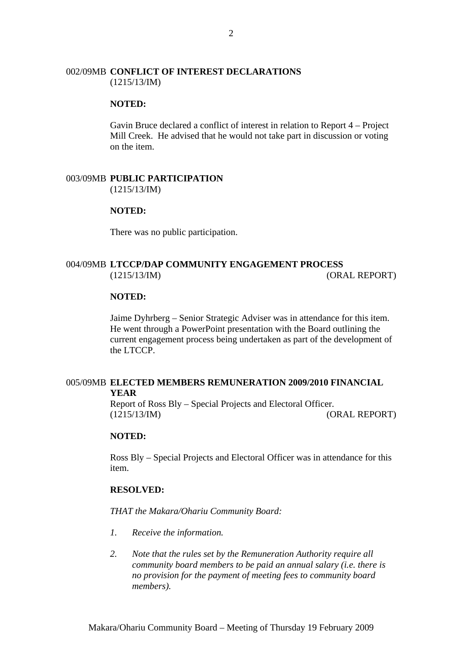#### 002/09MB **CONFLICT OF INTEREST DECLARATIONS** (1215/13/IM)

#### **NOTED:**

Gavin Bruce declared a conflict of interest in relation to Report 4 – Project Mill Creek. He advised that he would not take part in discussion or voting on the item.

## 003/09MB **PUBLIC PARTICIPATION**

(1215/13/IM)

#### **NOTED:**

There was no public participation.

## 004/09MB **LTCCP/DAP COMMUNITY ENGAGEMENT PROCESS** (1215/13/IM) (ORAL REPORT)

#### **NOTED:**

Jaime Dyhrberg – Senior Strategic Adviser was in attendance for this item. He went through a PowerPoint presentation with the Board outlining the current engagement process being undertaken as part of the development of the LTCCP.

#### 005/09MB **ELECTED MEMBERS REMUNERATION 2009/2010 FINANCIAL YEAR**

Report of Ross Bly – Special Projects and Electoral Officer. (1215/13/IM) (ORAL REPORT)

## **NOTED:**

Ross Bly – Special Projects and Electoral Officer was in attendance for this item.

#### **RESOLVED:**

*THAT the Makara/Ohariu Community Board:* 

- *1. Receive the information.*
- *2. Note that the rules set by the Remuneration Authority require all community board members to be paid an annual salary (i.e. there is no provision for the payment of meeting fees to community board members).*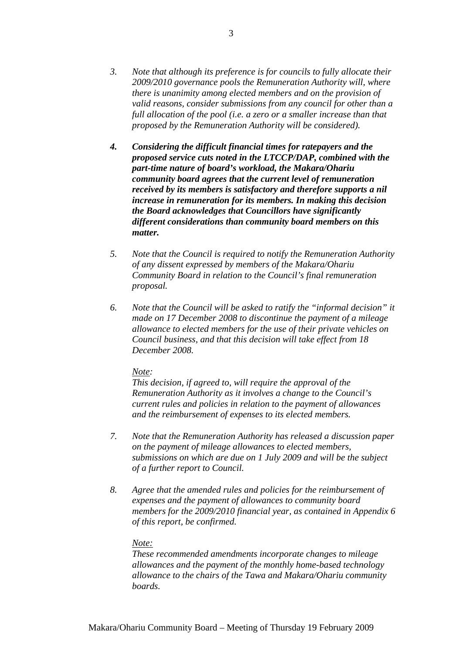- *3. Note that although its preference is for councils to fully allocate their 2009/2010 governance pools the Remuneration Authority will, where there is unanimity among elected members and on the provision of valid reasons, consider submissions from any council for other than a full allocation of the pool (i.e. a zero or a smaller increase than that proposed by the Remuneration Authority will be considered).*
- *4. Considering the difficult financial times for ratepayers and the proposed service cuts noted in the LTCCP/DAP, combined with the part-time nature of board's workload, the Makara/Ohariu community board agrees that the current level of remuneration received by its members is satisfactory and therefore supports a nil increase in remuneration for its members. In making this decision the Board acknowledges that Councillors have significantly different considerations than community board members on this matter.*
- *5. Note that the Council is required to notify the Remuneration Authority of any dissent expressed by members of the Makara/Ohariu Community Board in relation to the Council's final remuneration proposal.*
- *6. Note that the Council will be asked to ratify the "informal decision" it made on 17 December 2008 to discontinue the payment of a mileage allowance to elected members for the use of their private vehicles on Council business, and that this decision will take effect from 18 December 2008.*

#### *Note:*

*This decision, if agreed to, will require the approval of the Remuneration Authority as it involves a change to the Council's current rules and policies in relation to the payment of allowances and the reimbursement of expenses to its elected members.* 

- *7. Note that the Remuneration Authority has released a discussion paper on the payment of mileage allowances to elected members, submissions on which are due on 1 July 2009 and will be the subject of a further report to Council.*
- *8. Agree that the amended rules and policies for the reimbursement of expenses and the payment of allowances to community board members for the 2009/2010 financial year, as contained in Appendix 6 of this report, be confirmed.*

#### *Note:*

*These recommended amendments incorporate changes to mileage allowances and the payment of the monthly home-based technology allowance to the chairs of the Tawa and Makara/Ohariu community boards.*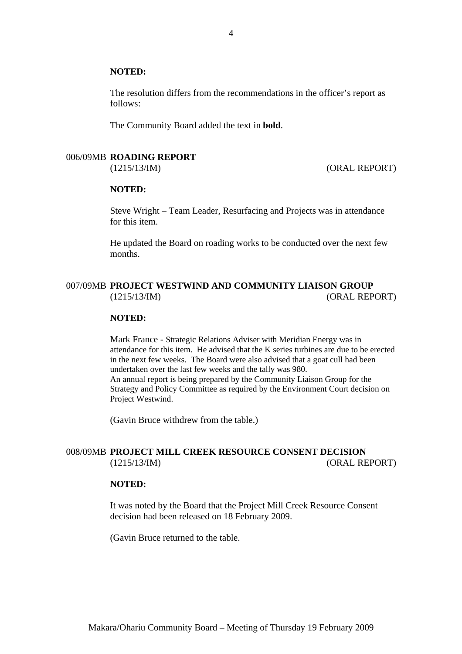#### **NOTED:**

The resolution differs from the recommendations in the officer's report as follows:

The Community Board added the text in **bold**.

#### 006/09MB **ROADING REPORT**

(1215/13/IM) (ORAL REPORT)

#### **NOTED:**

Steve Wright – Team Leader, Resurfacing and Projects was in attendance for this item.

He updated the Board on roading works to be conducted over the next few months.

## 007/09MB **PROJECT WESTWIND AND COMMUNITY LIAISON GROUP** (1215/13/IM) (ORAL REPORT)

#### **NOTED:**

Mark France - Strategic Relations Adviser with Meridian Energy was in attendance for this item. He advised that the K series turbines are due to be erected in the next few weeks. The Board were also advised that a goat cull had been undertaken over the last few weeks and the tally was 980. An annual report is being prepared by the Community Liaison Group for the Strategy and Policy Committee as required by the Environment Court decision on Project Westwind.

(Gavin Bruce withdrew from the table.)

## 008/09MB **PROJECT MILL CREEK RESOURCE CONSENT DECISION** (1215/13/IM) (ORAL REPORT)

#### **NOTED:**

It was noted by the Board that the Project Mill Creek Resource Consent decision had been released on 18 February 2009.

(Gavin Bruce returned to the table.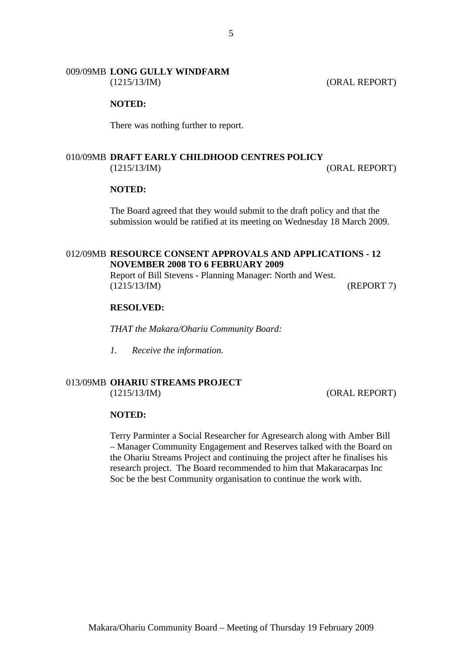# 009/09MB **LONG GULLY WINDFARM**

(1215/13/IM) (ORAL REPORT)

#### **NOTED:**

There was nothing further to report.

## 010/09MB **DRAFT EARLY CHILDHOOD CENTRES POLICY** (1215/13/IM) (ORAL REPORT)

#### **NOTED:**

The Board agreed that they would submit to the draft policy and that the submission would be ratified at its meeting on Wednesday 18 March 2009.

## 012/09MB **RESOURCE CONSENT APPROVALS AND APPLICATIONS - 12 NOVEMBER 2008 TO 6 FEBRUARY 2009**

Report of Bill Stevens - Planning Manager: North and West. (1215/13/IM) (REPORT 7)

#### **RESOLVED:**

*THAT the Makara/Ohariu Community Board:* 

*1. Receive the information.* 

## 013/09MB **OHARIU STREAMS PROJECT**

(1215/13/IM) (ORAL REPORT)

#### **NOTED:**

Terry Parminter a Social Researcher for Agresearch along with Amber Bill – Manager Community Engagement and Reserves talked with the Board on the Ohariu Streams Project and continuing the project after he finalises his research project. The Board recommended to him that Makaracarpas Inc Soc be the best Community organisation to continue the work with.

5